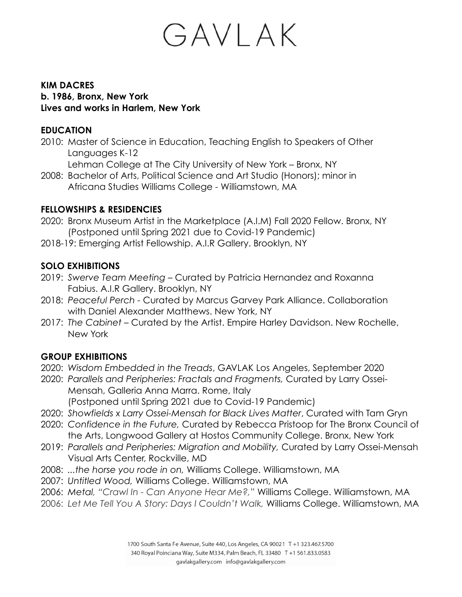## GAVLAK

#### **KIM DACRES b. 1986, Bronx, New York Lives and works in Harlem, New York**

#### **EDUCATION**

2010: Master of Science in Education, Teaching English to Speakers of Other Languages K-12

Lehman College at The City University of New York – Bronx, NY

2008: Bachelor of Arts, Political Science and Art Studio (Honors); minor in Africana Studies Williams College - Williamstown, MA

#### **FELLOWSHIPS & RESIDENCIES**

- 2020: Bronx Museum Artist in the Marketplace (A.I.M) Fall 2020 Fellow. Bronx, NY (Postponed until Spring 2021 due to Covid-19 Pandemic)
- 2018-19: Emerging Artist Fellowship. A.I.R Gallery. Brooklyn, NY

### **SOLO EXHIBITIONS**

- 2019: *Swerve Team Meeting* Curated by Patricia Hernandez and Roxanna Fabius. A.I.R Gallery. Brooklyn, NY
- 2018: *Peaceful Perch -* Curated by Marcus Garvey Park Alliance. Collaboration with Daniel Alexander Matthews. New York, NY
- 2017: *The Cabinet* Curated by the Artist. Empire Harley Davidson. New Rochelle, New York

#### **GROUP EXHIBITIONS**

- 2020: *Wisdom Embedded in the Treads*, GAVLAK Los Angeles, September 2020
- 2020: *Parallels and Peripheries: Fractals and Fragments,* Curated by Larry Ossei-Mensah, Galleria Anna Marra. Rome, Italy (Postponed until Spring 2021 due to Covid-19 Pandemic)
- 2020: *Showfields x Larry Ossei-Mensah for Black Lives Matter*, Curated with Tam Gryn
- 2020: *Confidence in the Future,* Curated by Rebecca Pristoop for The Bronx Council of the Arts, Longwood Gallery at Hostos Community College. Bronx, New York
- 2019: *Parallels and Peripheries: Migration and Mobility,* Curated by Larry Ossei-Mensah Visual Arts Center, Rockville, MD
- 2008: *...the horse you rode in on,* Williams College. Williamstown, MA
- 2007: *Untitled Wood,* Williams College. Williamstown, MA
- 2006: *Metal, "Crawl In Can Anyone Hear Me?,"* Williams College. Williamstown, MA
- 2006: *Let Me Tell You A Story: Days I Couldn't Walk,* Williams College. Williamstown, MA